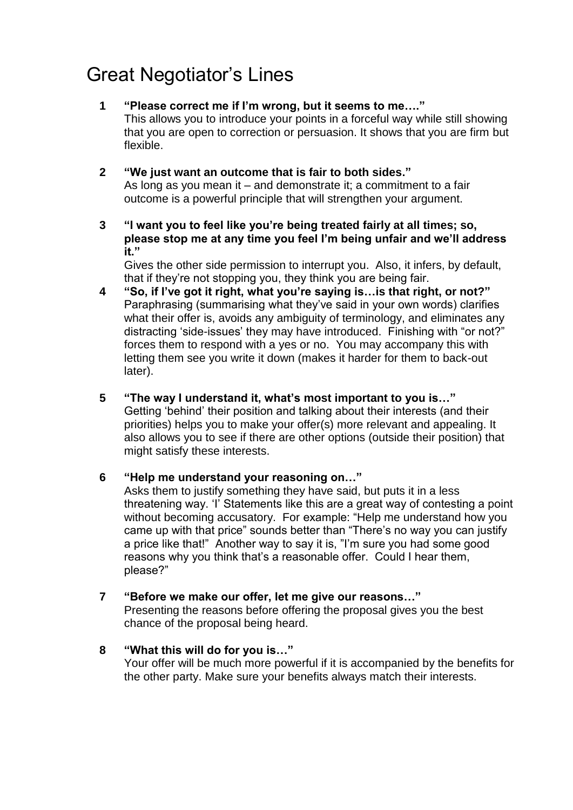## Great Negotiator's Lines

- **1 "Please correct me if I'm wrong, but it seems to me…."**  This allows you to introduce your points in a forceful way while still showing that you are open to correction or persuasion. It shows that you are firm but flexible.
- **2 "We just want an outcome that is fair to both sides."**  As long as you mean it – and demonstrate it; a commitment to a fair outcome is a powerful principle that will strengthen your argument.
- **3 "I want you to feel like you're being treated fairly at all times; so, please stop me at any time you feel I'm being unfair and we'll address it."**

Gives the other side permission to interrupt you. Also, it infers, by default, that if they're not stopping you, they think you are being fair.

- **4 "So, if I've got it right, what you're saying is…is that right, or not?"**  Paraphrasing (summarising what they've said in your own words) clarifies what their offer is, avoids any ambiguity of terminology, and eliminates any distracting 'side-issues' they may have introduced. Finishing with "or not?" forces them to respond with a yes or no. You may accompany this with letting them see you write it down (makes it harder for them to back-out later).
- **5 "The way I understand it, what's most important to you is…"** Getting 'behind' their position and talking about their interests (and their priorities) helps you to make your offer(s) more relevant and appealing. It also allows you to see if there are other options (outside their position) that might satisfy these interests.
- **6 "Help me understand your reasoning on…"**

Asks them to justify something they have said, but puts it in a less threatening way. 'I' Statements like this are a great way of contesting a point without becoming accusatory. For example: "Help me understand how you came up with that price" sounds better than "There's no way you can justify a price like that!" Another way to say it is, "I'm sure you had some good reasons why you think that's a reasonable offer. Could I hear them, please?"

- **7 "Before we make our offer, let me give our reasons…"**  Presenting the reasons before offering the proposal gives you the best chance of the proposal being heard.
- **8 "What this will do for you is…"** Your offer will be much more powerful if it is accompanied by the benefits for the other party. Make sure your benefits always match their interests.